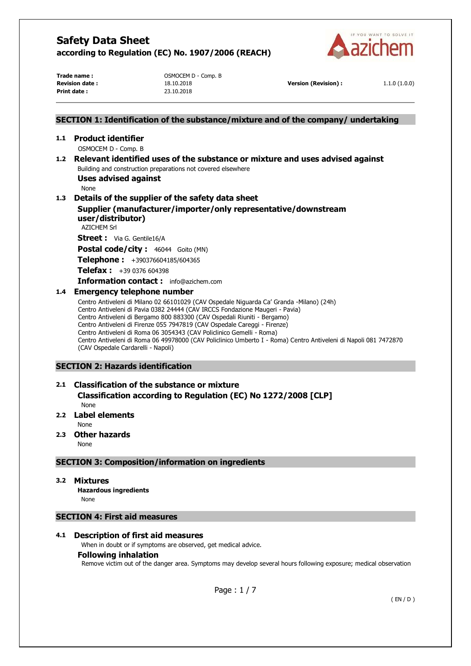

**Print date :** 23.10.2018

**Trade name : COMPOCEM D** - Comp. B

**Revision date :** 18.10.2018 **Version (Revision) :** 1.1.0 (1.0.0)

## **SECTION 1: Identification of the substance/mixture and of the company/ undertaking 1.1 Product identifier**  OSMOCEM D - Comp. B **1.2 Relevant identified uses of the substance or mixture and uses advised against**  Building and construction preparations not covered elsewhere **Uses advised against**  None **1.3 Details of the supplier of the safety data sheet Supplier (manufacturer/importer/only representative/downstream user/distributor)**  AZICHEM Srl **Street :** Via G. Gentile16/A Postal code/city : 46044 Goito (MN) **Telephone :** +390376604185/604365 **Telefax :** +39 0376 604398 **Information contact :** info@azichem.com **1.4 Emergency telephone number**  Centro Antiveleni di Milano 02 66101029 (CAV Ospedale Niguarda Ca' Granda -Milano) (24h) Centro Antiveleni di Pavia 0382 24444 (CAV IRCCS Fondazione Maugeri - Pavia) Centro Antiveleni di Bergamo 800 883300 (CAV Ospedali Riuniti - Bergamo) Centro Antiveleni di Firenze 055 7947819 (CAV Ospedale Careggi - Firenze) Centro Antiveleni di Roma 06 3054343 (CAV Policlinico Gemelli - Roma) Centro Antiveleni di Roma 06 49978000 (CAV Policlinico Umberto I - Roma) Centro Antiveleni di Napoli 081 7472870 (CAV Ospedale Cardarelli - Napoli) **SECTION 2: Hazards identification**

#### **2.1 Classification of the substance or mixture Classification according to Regulation (EC) No 1272/2008 [CLP]**  None

**2.2 Label elements** 

- None
- **2.3 Other hazards**

None

## **SECTION 3: Composition/information on ingredients**

#### **3.2 Mixtures**

**Hazardous ingredients** None

#### **SECTION 4: First aid measures**

#### **4.1 Description of first aid measures**

When in doubt or if symptoms are observed, get medical advice.

#### **Following inhalation**

Remove victim out of the danger area. Symptoms may develop several hours following exposure; medical observation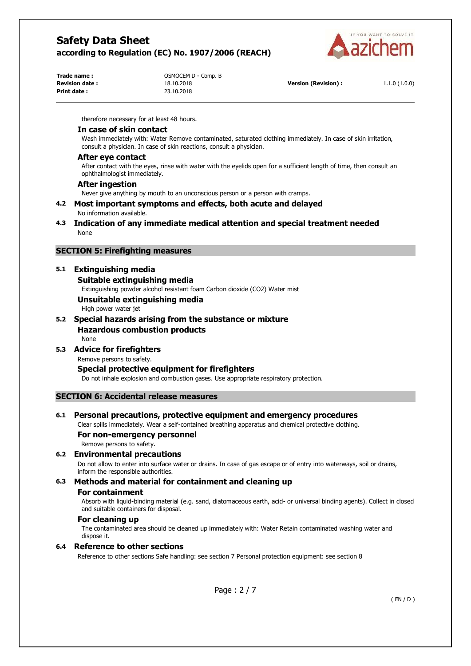

| Trade name:           |  |
|-----------------------|--|
| <b>Revision date:</b> |  |
| Print date:           |  |

OSMOCEM D - Comp. B **Print date :** 23.10.2018

**Revision date :** 18.10.2018 **Version (Revision) :** 1.1.0 (1.0.0)

therefore necessary for at least 48 hours.

#### **In case of skin contact**

Wash immediately with: Water Remove contaminated, saturated clothing immediately. In case of skin irritation, consult a physician. In case of skin reactions, consult a physician.

#### **After eye contact**

After contact with the eyes, rinse with water with the eyelids open for a sufficient length of time, then consult an ophthalmologist immediately.

#### **After ingestion**

Never give anything by mouth to an unconscious person or a person with cramps.

# **4.2 Most important symptoms and effects, both acute and delayed**

- No information available.
- **4.3 Indication of any immediate medical attention and special treatment needed**  None

#### **SECTION 5: Firefighting measures**

#### **5.1 Extinguishing media**

#### **Suitable extinguishing media**

Extinguishing powder alcohol resistant foam Carbon dioxide (CO2) Water mist

## **Unsuitable extinguishing media**

High power water jet

#### **5.2 Special hazards arising from the substance or mixture Hazardous combustion products**  None

## **5.3 Advice for firefighters**

Remove persons to safety.

#### **Special protective equipment for firefighters**

Do not inhale explosion and combustion gases. Use appropriate respiratory protection.

#### **SECTION 6: Accidental release measures**

#### **6.1 Personal precautions, protective equipment and emergency procedures**

Clear spills immediately. Wear a self-contained breathing apparatus and chemical protective clothing.

## **For non-emergency personnel**

Remove persons to safety.

#### **6.2 Environmental precautions**

Do not allow to enter into surface water or drains. In case of gas escape or of entry into waterways, soil or drains, inform the responsible authorities.

#### **6.3 Methods and material for containment and cleaning up For containment**

Absorb with liquid-binding material (e.g. sand, diatomaceous earth, acid- or universal binding agents). Collect in closed and suitable containers for disposal.

#### **For cleaning up**

The contaminated area should be cleaned up immediately with: Water Retain contaminated washing water and dispose it.

#### **6.4 Reference to other sections**

Reference to other sections Safe handling: see section 7 Personal protection equipment: see section 8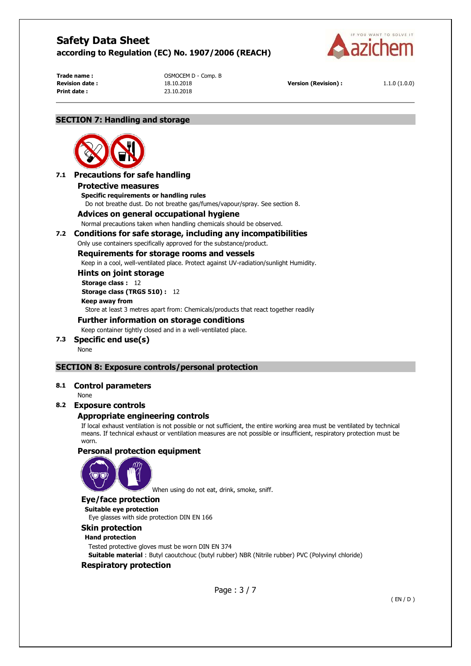

**Print date :** 23.10.2018

**Trade name :**  $OSMOCEM D - Comp. B$ 

**Revision date :** 18.10.2018 **Version (Revision) :** 1.1.0 (1.0.0)

#### **SECTION 7: Handling and storage**



# **7.1 Precautions for safe handling**

**Protective measures** 

**Specific requirements or handling rules**  Do not breathe dust. Do not breathe gas/fumes/vapour/spray. See section 8.

#### **Advices on general occupational hygiene**

Normal precautions taken when handling chemicals should be observed.

#### **7.2 Conditions for safe storage, including any incompatibilities**

Only use containers specifically approved for the substance/product.

#### **Requirements for storage rooms and vessels**

Keep in a cool, well-ventilated place. Protect against UV-radiation/sunlight Humidity.

## **Hints on joint storage**

**Storage class :** 12 **Storage class (TRGS 510) :** 12 **Keep away from** 

Store at least 3 metres apart from: Chemicals/products that react together readily

#### **Further information on storage conditions**

Keep container tightly closed and in a well-ventilated place.

**7.3 Specific end use(s)**  None

## **SECTION 8: Exposure controls/personal protection**

#### **8.1 Control parameters**

None

#### **8.2 Exposure controls**

## **Appropriate engineering controls**

If local exhaust ventilation is not possible or not sufficient, the entire working area must be ventilated by technical means. If technical exhaust or ventilation measures are not possible or insufficient, respiratory protection must be worn.

#### **Personal protection equipment**



When using do not eat, drink, smoke, sniff.

## **Eye/face protection**

**Suitable eye protection**  Eye glasses with side protection DIN EN 166

# **Skin protection**

#### **Hand protection**

Tested protective gloves must be worn DIN EN 374

**Suitable material** : Butyl caoutchouc (butyl rubber) NBR (Nitrile rubber) PVC (Polyvinyl chloride)

## **Respiratory protection**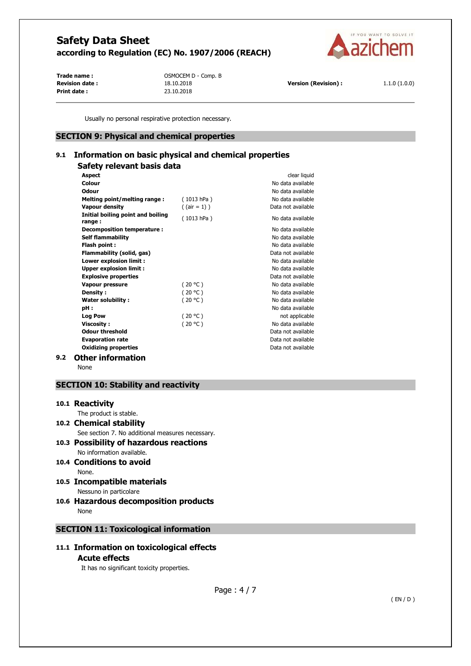

**Print date :** 23.10.2018

**Trade name :** OSMOCEM D - Comp. B

**Revision date :** 18.10.2018 **Version (Revision) :** 1.1.0 (1.0.0)

Usually no personal respirative protection necessary.

#### **SECTION 9: Physical and chemical properties**

# **9.1 Information on basic physical and chemical properties**

# **Safety relevant basis data**

|     | <b>Aspect</b>                               |                 | clear liquid       |
|-----|---------------------------------------------|-----------------|--------------------|
|     | Colour                                      |                 | No data available  |
|     | <b>Odour</b>                                |                 | No data available  |
|     | Melting point/melting range:                | (1013 hPa)      | No data available  |
|     | <b>Vapour density</b>                       | $($ (air = 1) ) | Data not available |
|     | Initial boiling point and boiling<br>range: | (1013 hPa)      | No data available  |
|     | Decomposition temperature :                 |                 | No data available  |
|     | <b>Self flammability</b>                    |                 | No data available  |
|     | Flash point:                                |                 | No data available  |
|     | Flammability (solid, gas)                   |                 | Data not available |
|     | Lower explosion limit :                     |                 | No data available  |
|     | <b>Upper explosion limit:</b>               |                 | No data available  |
|     | <b>Explosive properties</b>                 |                 | Data not available |
|     | Vapour pressure                             | (20 °C)         | No data available  |
|     | Density:                                    | (20 °C)         | No data available  |
|     | <b>Water solubility:</b>                    | (20 °C)         | No data available  |
|     | pH :                                        |                 | No data available  |
|     | <b>Log Pow</b>                              | (20 °C)         | not applicable     |
|     | <b>Viscosity:</b>                           | (20 °C)         | No data available  |
|     | <b>Odour threshold</b>                      |                 | Data not available |
|     | <b>Evaporation rate</b>                     |                 | Data not available |
|     | <b>Oxidizing properties</b>                 |                 | Data not available |
| 9.2 | <b>Other information</b>                    |                 |                    |

None

## **SECTION 10: Stability and reactivity**

#### **10.1 Reactivity**

The product is stable.

## **10.2 Chemical stability**

See section 7. No additional measures necessary.

**10.3 Possibility of hazardous reactions**  No information available.

#### **10.4 Conditions to avoid**  None.

# **10.5 Incompatible materials**

Nessuno in particolare

**10.6 Hazardous decomposition products**  None

# **SECTION 11: Toxicological information**

## **11.1 Information on toxicological effects Acute effects**

It has no significant toxicity properties.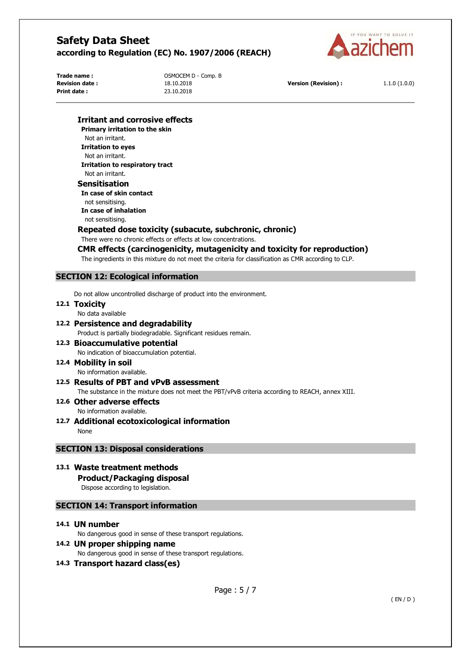

**Print date :** 23.10.2018

**Trade name :**  $OSMOCEM D - Comp. B$ 

**Revision date :** 18.10.2018 **Version (Revision) :** 1.1.0 (1.0.0)

#### **Irritant and corrosive effects**

**Primary irritation to the skin**  Not an irritant. **Irritation to eyes**  Not an irritant. **Irritation to respiratory tract**  Not an irritant. **Sensitisation** 

**In case of skin contact**  not sensitising. **In case of inhalation**  not sensitising.

#### **Repeated dose toxicity (subacute, subchronic, chronic)**

There were no chronic effects or effects at low concentrations.

## **CMR effects (carcinogenicity, mutagenicity and toxicity for reproduction)**

The ingredients in this mixture do not meet the criteria for classification as CMR according to CLP.

## **SECTION 12: Ecological information**

Do not allow uncontrolled discharge of product into the environment.

- **12.1 Toxicity** 
	- No data available
- **12.2 Persistence and degradability**

Product is partially biodegradable. Significant residues remain.

**12.3 Bioaccumulative potential**  No indication of bioaccumulation potential.

# **12.4 Mobility in soil**

No information available.

# **12.5 Results of PBT and vPvB assessment**

The substance in the mixture does not meet the PBT/vPvB criteria according to REACH, annex XIII.

- **12.6 Other adverse effects**  No information available.
- **12.7 Additional ecotoxicological information**  None

## **SECTION 13: Disposal considerations**

- **13.1 Waste treatment methods** 
	- **Product/Packaging disposal**

Dispose according to legislation.

# **SECTION 14: Transport information**

#### **14.1 UN number**

No dangerous good in sense of these transport regulations.

## **14.2 UN proper shipping name**

No dangerous good in sense of these transport regulations.

## **14.3 Transport hazard class(es)**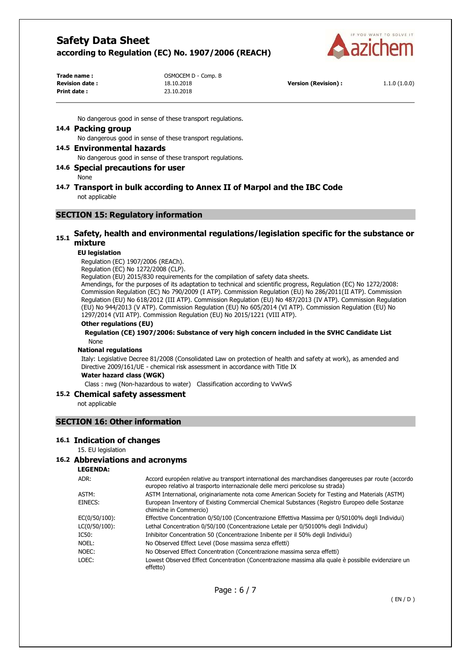

| Trade name:           | OSMOCEM D - Comp. B |
|-----------------------|---------------------|
| <b>Revision date:</b> | 18.10.2018          |
| Print date:           | 23.10.2018          |

**Version (Revision) :** 1.1.0 (1.0.0)

No dangerous good in sense of these transport regulations.

#### **14.4 Packing group**

No dangerous good in sense of these transport regulations.

#### **14.5 Environmental hazards**

No dangerous good in sense of these transport regulations.

#### **14.6 Special precautions for user**

None

#### **14.7 Transport in bulk according to Annex II of Marpol and the IBC Code**  not applicable

#### **SECTION 15: Regulatory information**

# **15.1 Safety, health and environmental regulations/legislation specific for the substance or mixture**

#### **EU legislation**

Regulation (EC) 1907/2006 (REACh).

Regulation (EC) No 1272/2008 (CLP).

Regulation (EU) 2015/830 requirements for the compilation of safety data sheets.

Amendings, for the purposes of its adaptation to technical and scientific progress, Regulation (EC) No 1272/2008: Commission Regulation (EC) No 790/2009 (I ATP). Commission Regulation (EU) No 286/2011(II ATP). Commission Regulation (EU) No 618/2012 (III ATP). Commission Regulation (EU) No 487/2013 (IV ATP). Commission Regulation (EU) No 944/2013 (V ATP). Commission Regulation (EU) No 605/2014 (VI ATP). Commission Regulation (EU) No 1297/2014 (VII ATP). Commission Regulation (EU) No 2015/1221 (VIII ATP).

#### **Other regulations (EU)**

#### **Regulation (CE) 1907/2006: Substance of very high concern included in the SVHC Candidate List**  None

#### **National regulations**

Italy: Legislative Decree 81/2008 (Consolidated Law on protection of health and safety at work), as amended and Directive 2009/161/UE - chemical risk assessment in accordance with Title IX

#### **Water hazard class (WGK)**

Class : nwg (Non-hazardous to water) Classification according to VwVwS

#### **15.2 Chemical safety assessment**

not applicable

#### **SECTION 16: Other information**

#### **16.1 Indication of changes**

15. EU legislation

#### **16.2 Abbreviations and acronyms**

**LEGENDA:**

| ADR:          | Accord européen relative au transport international des marchandises dangereuses par route (accordo<br>europeo relativo al trasporto internazionale delle merci pericolose su strada) |
|---------------|---------------------------------------------------------------------------------------------------------------------------------------------------------------------------------------|
| ASTM:         | ASTM International, originariamente nota come American Society for Testing and Materials (ASTM)                                                                                       |
| EINECS:       | European Inventory of Existing Commercial Chemical Substances (Registro Europeo delle Sostanze<br>chimiche in Commercio)                                                              |
| EC(0/50/100): | Effective Concentration 0/50/100 (Concentrazione Effettiva Massima per 0/50100% degli Individui)                                                                                      |
| LC(0/50/100): | Lethal Concentration 0/50/100 (Concentrazione Letale per 0/50100% degli Individui)                                                                                                    |
| IC50:         | Inhibitor Concentration 50 (Concentrazione Inibente per il 50% degli Individui)                                                                                                       |
| NOEL:         | No Observed Effect Level (Dose massima senza effetti)                                                                                                                                 |
| NOEC:         | No Observed Effect Concentration (Concentrazione massima senza effetti)                                                                                                               |
| LOEC:         | Lowest Observed Effect Concentration (Concentrazione massima alla quale è possibile evidenziare un<br>effetto)                                                                        |